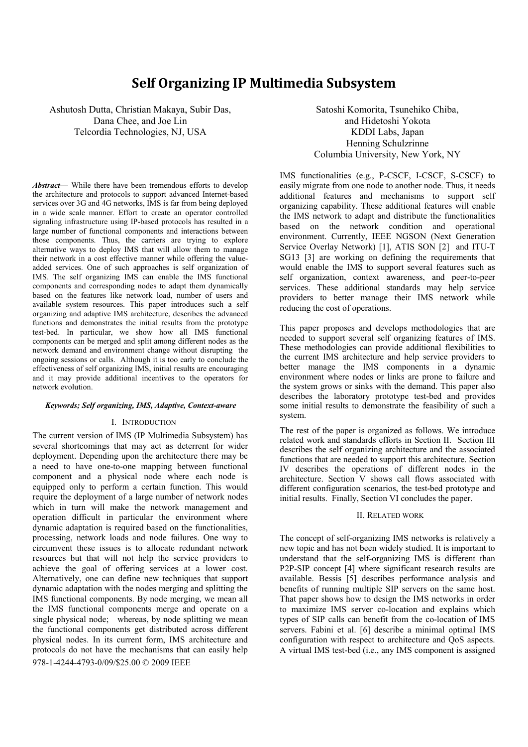# **Self Organizing IP Multimedia Subsystem**

Ashutosh Dutta, Christian Makaya, Subir Das, Dana Chee, and Joe Lin Telcordia Technologies, NJ, USA

*Abstract***—** While there have been tremendous efforts to develop the architecture and protocols to support advanced Internet-based services over 3G and 4G networks, IMS is far from being deployed in a wide scale manner. Effort to create an operator controlled signaling infrastructure using IP-based protocols has resulted in a large number of functional components and interactions between those components. Thus, the carriers are trying to explore alternative ways to deploy IMS that will allow them to manage their network in a cost effective manner while offering the valueadded services. One of such approaches is self organization of IMS. The self organizing IMS can enable the IMS functional components and corresponding nodes to adapt them dynamically based on the features like network load, number of users and available system resources. This paper introduces such a self organizing and adaptive IMS architecture, describes the advanced functions and demonstrates the initial results from the prototype test-bed. In particular, we show how all IMS functional components can be merged and split among different nodes as the network demand and environment change without disrupting the ongoing sessions or calls. Although it is too early to conclude the effectiveness of self organizing IMS, initial results are encouraging and it may provide additional incentives to the operators for network evolution.

#### *Keywords; Self organizing, IMS, Adaptive, Context-aware*

#### I. INTRODUCTION

978-1-4244-4793-0/09/\$25.00 © 2009 IEEE The current version of IMS (IP Multimedia Subsystem) has several shortcomings that may act as deterrent for wider deployment. Depending upon the architecture there may be a need to have one-to-one mapping between functional component and a physical node where each node is equipped only to perform a certain function. This would require the deployment of a large number of network nodes which in turn will make the network management and operation difficult in particular the environment where dynamic adaptation is required based on the functionalities, processing, network loads and node failures. One way to circumvent these issues is to allocate redundant network resources but that will not help the service providers to achieve the goal of offering services at a lower cost. Alternatively, one can define new techniques that support dynamic adaptation with the nodes merging and splitting the IMS functional components. By node merging, we mean all the IMS functional components merge and operate on a single physical node; whereas, by node splitting we mean the functional components get distributed across different physical nodes. In its current form, IMS architecture and protocols do not have the mechanisms that can easily help

Satoshi Komorita, Tsunehiko Chiba, and Hidetoshi Yokota KDDI Labs, Japan Henning Schulzrinne Columbia University, New York, NY

IMS functionalities (e.g., P-CSCF, I-CSCF, S-CSCF) to easily migrate from one node to another node. Thus, it needs additional features and mechanisms to support self organizing capability. These additional features will enable the IMS network to adapt and distribute the functionalities based on the network condition and operational environment. Currently, IEEE NGSON (Next Generation Service Overlay Network) [1], ATIS SON [2] and ITU-T SG13 [3] are working on defining the requirements that would enable the IMS to support several features such as self organization, context awareness, and peer-to-peer services. These additional standards may help service providers to better manage their IMS network while reducing the cost of operations.

This paper proposes and develops methodologies that are needed to support several self organizing features of IMS. These methodologies can provide additional flexibilities to the current IMS architecture and help service providers to better manage the IMS components in a dynamic environment where nodes or links are prone to failure and the system grows or sinks with the demand. This paper also describes the laboratory prototype test-bed and provides some initial results to demonstrate the feasibility of such a system.

The rest of the paper is organized as follows. We introduce related work and standards efforts in Section II. Section III describes the self organizing architecture and the associated functions that are needed to support this architecture. Section IV describes the operations of different nodes in the architecture. Section V shows call flows associated with different configuration scenarios, the test-bed prototype and initial results. Finally, Section VI concludes the paper.

#### II. RELATED WORK

The concept of self-organizing IMS networks is relatively a new topic and has not been widely studied. It is important to understand that the self-organizing IMS is different than P2P-SIP concept [4] where significant research results are available. Bessis [5] describes performance analysis and benefits of running multiple SIP servers on the same host. That paper shows how to design the IMS networks in order to maximize IMS server co-location and explains which types of SIP calls can benefit from the co-location of IMS servers. Fabini et al. [6] describe a minimal optimal IMS configuration with respect to architecture and QoS aspects. A virtual IMS test-bed (i.e., any IMS component is assigned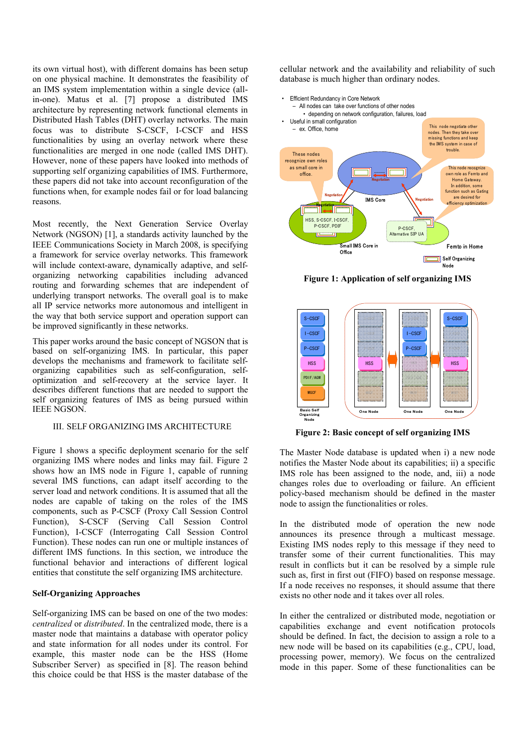its own virtual host), with different domains has been setup on one physical machine. It demonstrates the feasibility of an IMS system implementation within a single device (allin-one). Matus et al. [7] propose a distributed IMS architecture by representing network functional elements in Distributed Hash Tables (DHT) overlay networks. The main focus was to distribute S-CSCF, I-CSCF and HSS functionalities by using an overlay network where these functionalities are merged in one node (called IMS DHT). However, none of these papers have looked into methods of supporting self organizing capabilities of IMS. Furthermore, these papers did not take into account reconfiguration of the functions when, for example nodes fail or for load balancing reasons.

Most recently, the Next Generation Service Overlay Network (NGSON) [1], a standards activity launched by the IEEE Communications Society in March 2008, is specifying a framework for service overlay networks. This framework will include context-aware, dynamically adaptive, and selforganizing networking capabilities including advanced routing and forwarding schemes that are independent of underlying transport networks. The overall goal is to make all IP service networks more autonomous and intelligent in the way that both service support and operation support can be improved significantly in these networks.

This paper works around the basic concept of NGSON that is based on self-organizing IMS. In particular, this paper develops the mechanisms and framework to facilitate selforganizing capabilities such as self-configuration, selfoptimization and self-recovery at the service layer. It describes different functions that are needed to support the self organizing features of IMS as being pursued within IEEE NGSON.

#### III. SELF ORGANIZING IMS ARCHITECTURE

Figure 1 shows a specific deployment scenario for the self organizing IMS where nodes and links may fail. Figure 2 shows how an IMS node in Figure 1, capable of running several IMS functions, can adapt itself according to the server load and network conditions. It is assumed that all the nodes are capable of taking on the roles of the IMS components, such as P-CSCF (Proxy Call Session Control Function), S-CSCF (Serving Call Session Control Function), I-CSCF (Interrogating Call Session Control Function). These nodes can run one or multiple instances of different IMS functions. In this section, we introduce the functional behavior and interactions of different logical entities that constitute the self organizing IMS architecture.

# **Self-Organizing Approaches**

Self-organizing IMS can be based on one of the two modes: *centralized* or *distributed*. In the centralized mode, there is a master node that maintains a database with operator policy and state information for all nodes under its control. For example, this master node can be the HSS (Home Subscriber Server) as specified in [8]. The reason behind this choice could be that HSS is the master database of the

cellular network and the availability and reliability of such database is much higher than ordinary nodes.



**Figure 1: Application of self organizing IMS** 



**Figure 2: Basic concept of self organizing IMS** 

The Master Node database is updated when i) a new node notifies the Master Node about its capabilities; ii) a specific IMS role has been assigned to the node, and, iii) a node changes roles due to overloading or failure. An efficient policy-based mechanism should be defined in the master node to assign the functionalities or roles.

In the distributed mode of operation the new node announces its presence through a multicast message. Existing IMS nodes reply to this message if they need to transfer some of their current functionalities. This may result in conflicts but it can be resolved by a simple rule such as, first in first out (FIFO) based on response message. If a node receives no responses, it should assume that there exists no other node and it takes over all roles.

In either the centralized or distributed mode, negotiation or capabilities exchange and event notification protocols should be defined. In fact, the decision to assign a role to a new node will be based on its capabilities (e.g., CPU, load, processing power, memory). We focus on the centralized mode in this paper. Some of these functionalities can be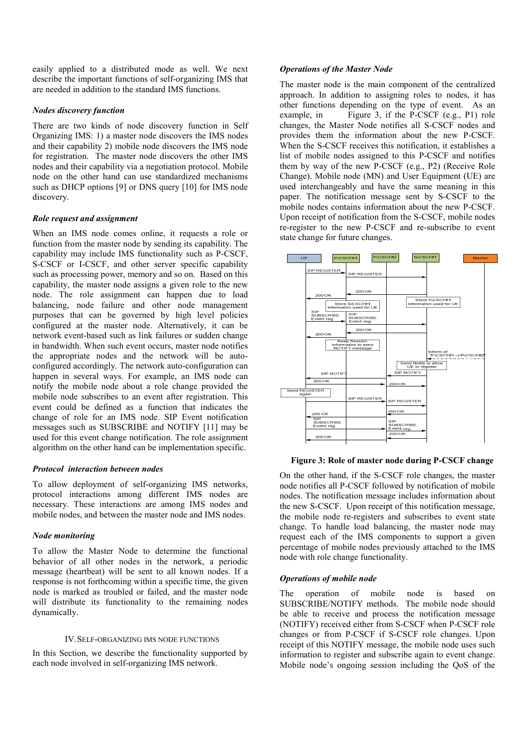easily applied to a distributed mode as well. We next describe the important functions of self-organizing IMS that are needed in addition to the standard IMS functions.

# *Nodes discovery function*

There are two kinds of node discovery function in Self Organizing IMS: 1) a master node discovers the IMS nodes and their capability 2) mobile node discovers the IMS node for registration. The master node discovers the other IMS nodes and their capability via a negotiation protocol. Mobile node on the other hand can use standardized mechanisms such as DHCP options [9] or DNS query [10] for IMS node discovery.

# *Role request and assignment*

When an IMS node comes online, it requests a role or function from the master node by sending its capability. The capability may include IMS functionality such as P-CSCF, S-CSCF or I-CSCF, and other server specific capability such as processing power, memory and so on. Based on this capability, the master node assigns a given role to the new node. The role assignment can happen due to load balancing, node failure and other node management purposes that can be governed by high level policies configured at the master node. Alternatively, it can be network event-based such as link failures or sudden change in bandwidth. When such event occurs, master node notifies the appropriate nodes and the network will be autoconfigured accordingly. The network auto-configuration can happen in several ways. For example, an IMS node can notify the mobile node about a role change provided the mobile node subscribes to an event after registration. This event could be defined as a function that indicates the change of role for an IMS node. SIP Event notification messages such as SUBSCRIBE and NOTIFY [11] may be used for this event change notification. The role assignment algorithm on the other hand can be implementation specific.

# *Protocol interaction between nodes*

To allow deployment of self-organizing IMS networks, protocol interactions among different IMS nodes are necessary. These interactions are among IMS nodes and mobile nodes, and between the master node and IMS nodes.

# *Node monitoring*

To allow the Master Node to determine the functional behavior of all other nodes in the network, a periodic message (heartbeat) will be sent to all known nodes. If a response is not forthcoming within a specific time, the given node is marked as troubled or failed, and the master node will distribute its functionality to the remaining nodes dynamically.

# IV.SELF-ORGANIZING IMS NODE FUNCTIONS

In this Section, we describe the functionality supported by each node involved in self-organizing IMS network.

# *Operations of the Master Node*

The master node is the main component of the centralized approach. In addition to assigning roles to nodes, it has other functions depending on the type of event. As an example, in Figure 3, if the P-CSCF (e.g., P1) role changes, the Master Node notifies all S-CSCF nodes and provides them the information about the new P-CSCF. When the S-CSCF receives this notification, it establishes a list of mobile nodes assigned to this P-CSCF and notifies them by way of the new P-CSCF (e.g., P2) (Receive Role Change). Mobile node (MN) and User Equipment (UE) are used interchangeably and have the same meaning in this paper. The notification message sent by S-CSCF to the mobile nodes contains information about the new P-CSCF. Upon receipt of notification from the S-CSCF, mobile nodes re-register to the new P-CSCF and re-subscribe to event state change for future changes.



### **Figure 3: Role of master node during P-CSCF change**

On the other hand, if the S-CSCF role changes, the master node notifies all P-CSCF followed by notification of mobile nodes. The notification message includes information about the new S-CSCF. Upon receipt of this notification message, the mobile node re-registers and subscribes to event state change. To handle load balancing, the master node may request each of the IMS components to support a given percentage of mobile nodes previously attached to the IMS node with role change functionality.

# *Operations of mobile node*

The operation of mobile node is based on SUBSCRIBE/NOTIFY methods. The mobile node should be able to receive and process the notification message (NOTIFY) received either from S-CSCF when P-CSCF role changes or from P-CSCF if S-CSCF role changes. Upon receipt of this NOTIFY message, the mobile node uses such information to register and subscribe again to event change. Mobile node's ongoing session including the QoS of the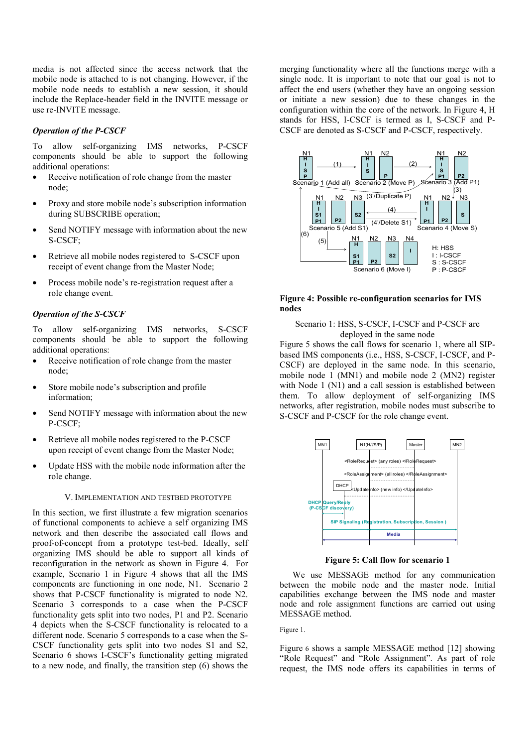media is not affected since the access network that the mobile node is attached to is not changing. However, if the mobile node needs to establish a new session, it should include the Replace-header field in the INVITE message or use re-INVITE message.

#### *Operation of the P-CSCF*

To allow self-organizing IMS networks, P-CSCF components should be able to support the following additional operations:

- Receive notification of role change from the master node;
- Proxy and store mobile node's subscription information during SUBSCRIBE operation;
- Send NOTIFY message with information about the new S-CSCF;
- Retrieve all mobile nodes registered to S-CSCF upon receipt of event change from the Master Node;
- Process mobile node's re-registration request after a role change event.

### *Operation of the S-CSCF*

To allow self-organizing IMS networks, S-CSCF components should be able to support the following additional operations:

- Receive notification of role change from the master node;
- Store mobile node's subscription and profile information;
- Send NOTIFY message with information about the new P-CSCF;
- Retrieve all mobile nodes registered to the P-CSCF upon receipt of event change from the Master Node;
- Update HSS with the mobile node information after the role change.

#### V. IMPLEMENTATION AND TESTBED PROTOTYPE

In this section, we first illustrate a few migration scenarios of functional components to achieve a self organizing IMS network and then describe the associated call flows and proof-of-concept from a prototype test-bed. Ideally, self organizing IMS should be able to support all kinds of reconfiguration in the network as shown in Figure 4. For example, Scenario 1 in Figure 4 shows that all the IMS components are functioning in one node, N1. Scenario 2 shows that P-CSCF functionality is migrated to node N2. Scenario 3 corresponds to a case when the P-CSCF functionality gets split into two nodes, P1 and P2. Scenario 4 depicts when the S-CSCF functionality is relocated to a different node. Scenario 5 corresponds to a case when the S-CSCF functionality gets split into two nodes S1 and S2, Scenario 6 shows I-CSCF's functionality getting migrated to a new node, and finally, the transition step (6) shows the

merging functionality where all the functions merge with a single node. It is important to note that our goal is not to affect the end users (whether they have an ongoing session or initiate a new session) due to these changes in the configuration within the core of the network. In Figure 4, H stands for HSS, I-CSCF is termed as I, S-CSCF and P-CSCF are denoted as S-CSCF and P-CSCF, respectively.



#### **Figure 4: Possible re-configuration scenarios for IMS nodes**

Scenario 1: HSS, S-CSCF, I-CSCF and P-CSCF are deployed in the same node

Figure 5 shows the call flows for scenario 1, where all SIPbased IMS components (i.e., HSS, S-CSCF, I-CSCF, and P-CSCF) are deployed in the same node. In this scenario, mobile node 1 (MN1) and mobile node 2 (MN2) register with Node 1 (N1) and a call session is established between them. To allow deployment of self-organizing IMS networks, after registration, mobile nodes must subscribe to S-CSCF and P-CSCF for the role change event.



**Figure 5: Call flow for scenario 1** 

We use MESSAGE method for any communication between the mobile node and the master node. Initial capabilities exchange between the IMS node and master node and role assignment functions are carried out using MESSAGE method.

Figure 1.

Figure 6 shows a sample MESSAGE method [12] showing "Role Request" and "Role Assignment". As part of role request, the IMS node offers its capabilities in terms of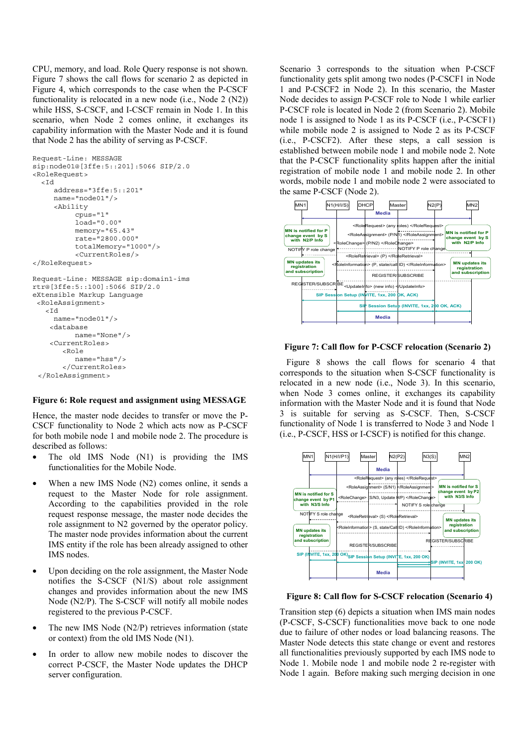CPU, memory, and load. Role Query response is not shown. Figure 7 shows the call flows for scenario 2 as depicted in Figure 4, which corresponds to the case when the P-CSCF functionality is relocated in a new node (i.e., Node 2 (N2)) while HSS, S-CSCF, and I-CSCF remain in Node 1. In this scenario, when Node 2 comes online, it exchanges its capability information with the Master Node and it is found that Node 2 has the ability of serving as P-CSCF.

```
Request-Line: MESSAGE 
sip:node01@[3ffe:5::201]:5066 SIP/2.0 
<RoleRequest> 
  5T > address="3ffe:5::201" 
      name="node01"/> 
      <Ability 
            cpus="1" 
            load="0.00" 
            memory="65.43" 
            rate="2800.000" 
            totalMemory="1000"/> 
            <CurrentRoles/> 
</RoleRequest> 
Request-Line: MESSAGE sip:domain1-ims 
rtr@[3ffe:5::100]:5066 SIP/2.0 
eXtensible Markup Language 
  <RoleAssignment> 
    <Id 
      name="node01"/> 
     <database 
            name="None"/> 
     <CurrentRoles> 
         <Role 
            name="hss"/> 
         </CurrentRoles> 
 </RoleAssignment>
```
#### **Figure 6: Role request and assignment using MESSAGE**

Hence, the master node decides to transfer or move the P-CSCF functionality to Node 2 which acts now as P-CSCF for both mobile node 1 and mobile node 2. The procedure is described as follows:

- The old IMS Node (N1) is providing the IMS functionalities for the Mobile Node.
- When a new IMS Node (N2) comes online, it sends a request to the Master Node for role assignment. According to the capabilities provided in the role request response message, the master node decides the role assignment to N2 governed by the operator policy. The master node provides information about the current IMS entity if the role has been already assigned to other IMS nodes.
- Upon deciding on the role assignment, the Master Node notifies the S-CSCF (N1/S) about role assignment changes and provides information about the new IMS Node (N2/P). The S-CSCF will notify all mobile nodes registered to the previous P-CSCF.
- The new IMS Node (N2/P) retrieves information (state or context) from the old IMS Node (N1).
- In order to allow new mobile nodes to discover the correct P-CSCF, the Master Node updates the DHCP server configuration.

Scenario 3 corresponds to the situation when P-CSCF functionality gets split among two nodes (P-CSCF1 in Node 1 and P-CSCF2 in Node 2). In this scenario, the Master Node decides to assign P-CSCF role to Node 1 while earlier P-CSCF role is located in Node 2 (from Scenario 2). Mobile node 1 is assigned to Node 1 as its P-CSCF (i.e., P-CSCF1) while mobile node 2 is assigned to Node 2 as its P-CSCF (i.e., P-CSCF2). After these steps, a call session is established between mobile node 1 and mobile node 2. Note that the P-CSCF functionality splits happen after the initial registration of mobile node 1 and mobile node 2. In other words, mobile node 1 and mobile node 2 were associated to the same P-CSCF (Node 2).



### **Figure 7: Call flow for P-CSCF relocation (Scenario 2)**

 Figure 8 shows the call flows for scenario 4 that corresponds to the situation when S-CSCF functionality is relocated in a new node (i.e., Node 3). In this scenario, when Node 3 comes online, it exchanges its capability information with the Master Node and it is found that Node 3 is suitable for serving as S-CSCF. Then, S-CSCF functionality of Node 1 is transferred to Node 3 and Node 1 (i.e., P-CSCF, HSS or I-CSCF) is notified for this change.



 **Figure 8: Call flow for S-CSCF relocation (Scenario 4)** 

Transition step (6) depicts a situation when IMS main nodes (P-CSCF, S-CSCF) functionalities move back to one node due to failure of other nodes or load balancing reasons. The Master Node detects this state change or event and restores all functionalities previously supported by each IMS node to Node 1. Mobile node 1 and mobile node 2 re-register with Node 1 again. Before making such merging decision in one